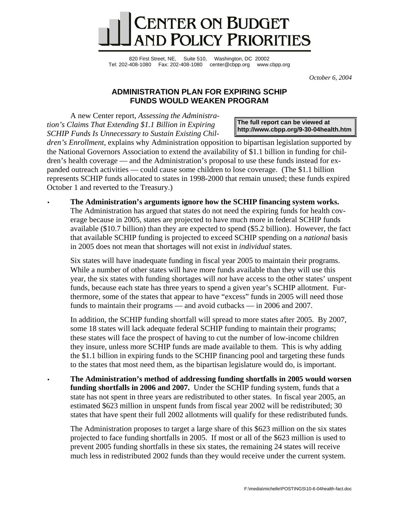

820 First Street, NE, Suite 510, Washington, DC 20002 Tel: 202-408-1080 Fax: 202-408-1080 center@cbpp.org www.cbpp.org

*October 6, 2004* 

## **ADMINISTRATION PLAN FOR EXPIRING SCHIP FUNDS WOULD WEAKEN PROGRAM**

A new Center report, *Assessing the Administration's Claims That Extending \$1.1 Billion in Expiring SCHIP Funds Is Unnecessary to Sustain Existing Chil-*

**The full report can be viewed at <http://www.cbpp.org/9-30-04health.htm>**

*dren's Enrollment,* explains why Administration opposition to bipartisan legislation supported by the National Governors Association to extend the availability of \$1.1 billion in funding for children's health coverage — and the Administration's proposal to use these funds instead for expanded outreach activities — could cause some children to lose coverage. (The \$1.1 billion represents SCHIP funds allocated to states in 1998-2000 that remain unused; these funds expired October 1 and reverted to the Treasury.)

• **The Administration's arguments ignore how the SCHIP financing system works.** The Administration has argued that states do not need the expiring funds for health coverage because in 2005, states are projected to have much more in federal SCHIP funds available (\$10.7 billion) than they are expected to spend (\$5.2 billion). However, the fact that available SCHIP funding is projected to exceed SCHIP spending on a *national* basis in 2005 does not mean that shortages will not exist in *individual* states.

Six states will have inadequate funding in fiscal year 2005 to maintain their programs. While a number of other states will have more funds available than they will use this year, the six states with funding shortages will *not* have access to the other states' unspent funds, because each state has three years to spend a given year's SCHIP allotment. Furthermore, some of the states that appear to have "excess" funds in 2005 will need those funds to maintain their programs — and avoid cutbacks — in 2006 and 2007.

In addition, the SCHIP funding shortfall will spread to more states after 2005. By 2007, some 18 states will lack adequate federal SCHIP funding to maintain their programs; these states will face the prospect of having to cut the number of low-income children they insure, unless more SCHIP funds are made available to them. This is why adding the \$1.1 billion in expiring funds to the SCHIP financing pool and targeting these funds to the states that most need them, as the bipartisan legislature would do, is important.

• **The Administration's method of addressing funding shortfalls in 2005 would worsen funding shortfalls in 2006 and 2007.** Under the SCHIP funding system, funds that a state has not spent in three years are redistributed to other states. In fiscal year 2005, an estimated \$623 million in unspent funds from fiscal year 2002 will be redistributed; 30 states that have spent their full 2002 allotments will qualify for these redistributed funds.

The Administration proposes to target a large share of this \$623 million on the six states projected to face funding shortfalls in 2005. If most or all of the \$623 million is used to prevent 2005 funding shortfalls in these six states, the remaining 24 states will receive much less in redistributed 2002 funds than they would receive under the current system.